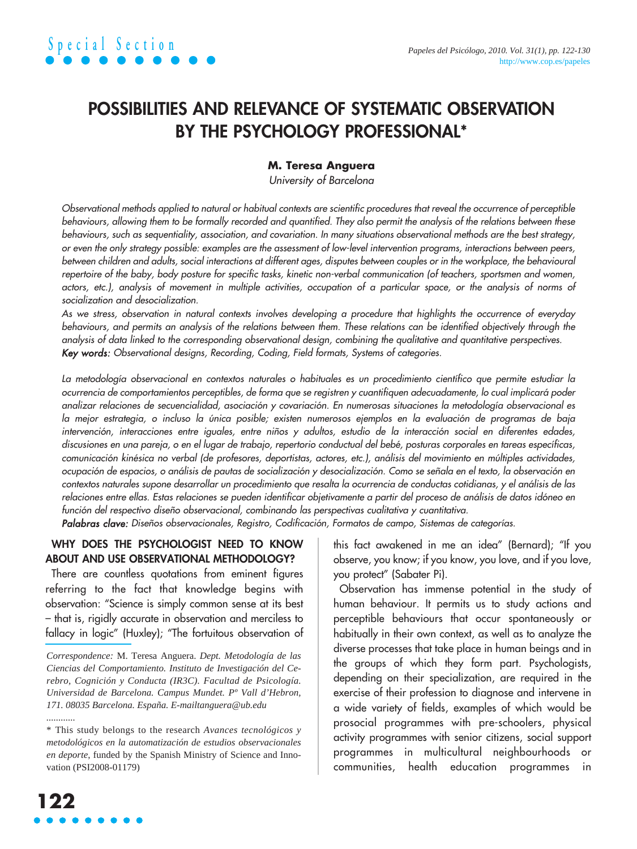### **POSSIBILITIES AND RELEVANCE OF SYSTEMATIC OBSERVATION BY THE PSYCHOLOGY PROFESSIONAL\***

### **M. Teresa Anguera**

University of Barcelona

Observational methods applied to natural or habitual contexts are scientific procedures that reveal the occurrence of perceptible behaviours, allowing them to be formally recorded and quantified. They also permit the analysis of the relations between these behaviours, such as sequentiality, association, and covariation. In many situations observational methods are the best strategy, or even the only strategy possible: examples are the assessment of low-level intervention programs, interactions between peers, between children and adults, social interactions at different ages, disputes between couples or in the workplace, the behavioural repertoire of the baby, body posture for specific tasks, kinetic non-verbal communication (of teachers, sportsmen and women, actors, etc.), analysis of movement in multiple activities, occupation of a particular space, or the analysis of norms of socialization and desocialization.

As we stress, observation in natural contexts involves developing a procedure that highlights the occurrence of everyday behaviours, and permits an analysis of the relations between them. These relations can be identified objectively through the analysis of data linked to the corresponding observational design, combining the qualitative and quantitative perspectives. Key words: Observational designs, Recording, Coding, Field formats, Systems of categories.

La metodología observacional en contextos naturales o habituales es un procedimiento científico que permite estudiar la ocurrencia de comportamientos perceptibles, de forma que se registren y cuantifiquen adecuadamente, lo cual implicará poder analizar relaciones de secuencialidad, asociación y covariación. En numerosas situaciones la metodología observacional es la mejor estrategia, o incluso la única posible; existen numerosos ejemplos en la evaluación de programas de baja intervención, interacciones entre iguales, entre niños y adultos, estudio de la interacción social en diferentes edades, discusiones en una pareja, o en el lugar de trabajo, repertorio conductual del bebé, posturas corporales en tareas específicas, comunicación kinésica no verbal (de profesores, deportistas, actores, etc.), análisis del movimiento en múltiples actividades, ocupación de espacios, o análisis de pautas de socialización y desocialización. Como se señala en el texto, la observación en contextos naturales supone desarrollar un procedimiento que resalta la ocurrencia de conductas cotidianas, y el análisis de las relaciones entre ellas. Estas relaciones se pueden identificar objetivamente a partir del proceso de análisis de datos idóneo en función del respectivo diseño observacional, combinando las perspectivas cualitativa y cuantitativa.

Palabras clave: Diseños observacionales, Registro, Codificación, Formatos de campo, Sistemas de categorías.

### **WHY DOES THE PSYCHOLOGIST NEED TO KNOW ABOUT AND USE OBSERVATIONAL METHODOLOGY?**

There are countless quotations from eminent figures referring to the fact that knowledge begins with observation: "Science is simply common sense at its best – that is, rigidly accurate in observation and merciless to fallacy in logic" (Huxley); "The fortuitous observation of

*Correspondence:* M. Teresa Anguera. *Dept. Metodología de las Ciencias del Comportamiento. Instituto de Investigación del Cerebro, Cognición y Conducta (IR3C). Facultad de Psicología. Universidad de Barcelona. Campus Mundet. Pº Vall d'Hebron, 171. 08035 Barcelona. España. E-mailtanguera@ub.edu*

this fact awakened in me an idea" (Bernard); "If you observe, you know; if you know, you love, and if you love, you protect" (Sabater Pi).

Observation has immense potential in the study of human behaviour. It permits us to study actions and perceptible behaviours that occur spontaneously or habitually in their own context, as well as to analyze the diverse processes that take place in human beings and in the groups of which they form part. Psychologists, depending on their specialization, are required in the exercise of their profession to diagnose and intervene in a wide variety of fields, examples of which would be prosocial programmes with pre-schoolers, physical activity programmes with senior citizens, social support programmes in multicultural neighbourhoods or communities, health education programmes in

*............*

<sup>\*</sup> This study belongs to the research *Avances tecnológicos y metodológicos en la automatización de estudios observacionales en deporte*, funded by the Spanish Ministry of Science and Innovation (PSI2008-01179)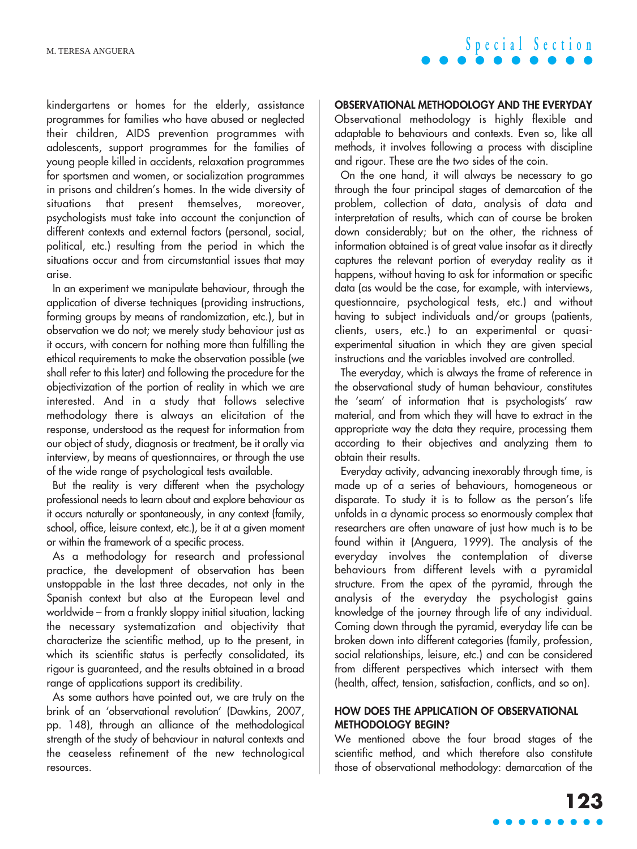kindergartens or homes for the elderly, assistance programmes for families who have abused or neglected their children, AIDS prevention programmes with adolescents, support programmes for the families of young people killed in accidents, relaxation programmes for sportsmen and women, or socialization programmes in prisons and children's homes. In the wide diversity of situations that present themselves, moreover, psychologists must take into account the conjunction of different contexts and external factors (personal, social, political, etc.) resulting from the period in which the situations occur and from circumstantial issues that may arise.

In an experiment we manipulate behaviour, through the application of diverse techniques (providing instructions, forming groups by means of randomization, etc.), but in observation we do not; we merely study behaviour just as it occurs, with concern for nothing more than fulfilling the ethical requirements to make the observation possible (we shall refer to this later) and following the procedure for the objectivization of the portion of reality in which we are interested. And in a study that follows selective methodology there is always an elicitation of the response, understood as the request for information from our object of study, diagnosis or treatment, be it orally via interview, by means of questionnaires, or through the use of the wide range of psychological tests available.

But the reality is very different when the psychology professional needs to learn about and explore behaviour as it occurs naturally or spontaneously, in any context (family, school, office, leisure context, etc.), be it at a given moment or within the framework of a specific process.

As a methodology for research and professional practice, the development of observation has been unstoppable in the last three decades, not only in the Spanish context but also at the European level and worldwide – from a frankly sloppy initial situation, lacking the necessary systematization and objectivity that characterize the scientific method, up to the present, in which its scientific status is perfectly consolidated, its rigour is guaranteed, and the results obtained in a broad range of applications support its credibility.

As some authors have pointed out, we are truly on the brink of an 'observational revolution' (Dawkins, 2007, pp. 148), through an alliance of the methodological strength of the study of behaviour in natural contexts and the ceaseless refinement of the new technological resources.

#### **OBSERVATIONAL METHODOLOGY AND THE EVERYDAY**

Observational methodology is highly flexible and adaptable to behaviours and contexts. Even so, like all methods, it involves following a process with discipline and rigour. These are the two sides of the coin.

On the one hand, it will always be necessary to go through the four principal stages of demarcation of the problem, collection of data, analysis of data and interpretation of results, which can of course be broken down considerably; but on the other, the richness of information obtained is of great value insofar as it directly captures the relevant portion of everyday reality as it happens, without having to ask for information or specific data (as would be the case, for example, with interviews, questionnaire, psychological tests, etc.) and without having to subject individuals and/or groups (patients, clients, users, etc.) to an experimental or quasiexperimental situation in which they are given special instructions and the variables involved are controlled.

The everyday, which is always the frame of reference in the observational study of human behaviour, constitutes the 'seam' of information that is psychologists' raw material, and from which they will have to extract in the appropriate way the data they require, processing them according to their objectives and analyzing them to obtain their results.

Everyday activity, advancing inexorably through time, is made up of a series of behaviours, homogeneous or disparate. To study it is to follow as the person's life unfolds in a dynamic process so enormously complex that researchers are often unaware of just how much is to be found within it (Anguera, 1999). The analysis of the everyday involves the contemplation of diverse behaviours from different levels with a pyramidal structure. From the apex of the pyramid, through the analysis of the everyday the psychologist gains knowledge of the journey through life of any individual. Coming down through the pyramid, everyday life can be broken down into different categories (family, profession, social relationships, leisure, etc.) and can be considered from different perspectives which intersect with them (health, affect, tension, satisfaction, conflicts, and so on).

### **HOW DOES THE APPLICATION OF OBSERVATIONAL METHODOLOGY BEGIN?**

We mentioned above the four broad stages of the scientific method, and which therefore also constitute those of observational methodology: demarcation of the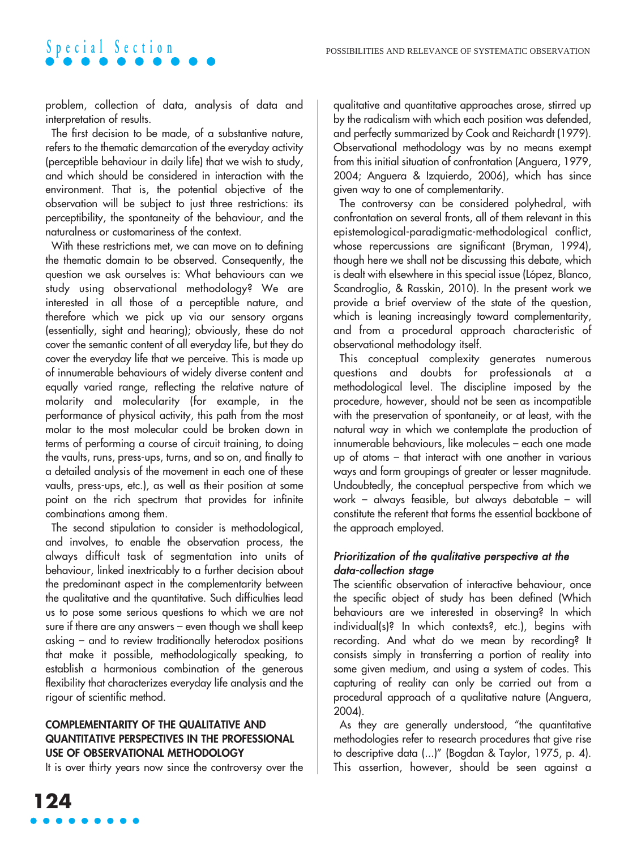problem, collection of data, analysis of data and interpretation of results.

The first decision to be made, of a substantive nature, refers to the thematic demarcation of the everyday activity (perceptible behaviour in daily life) that we wish to study, and which should be considered in interaction with the environment. That is, the potential objective of the observation will be subject to just three restrictions: its perceptibility, the spontaneity of the behaviour, and the naturalness or customariness of the context.

With these restrictions met, we can move on to defining the thematic domain to be observed. Consequently, the question we ask ourselves is: What behaviours can we study using observational methodology? We are interested in all those of a perceptible nature, and therefore which we pick up via our sensory organs (essentially, sight and hearing); obviously, these do not cover the semantic content of all everyday life, but they do cover the everyday life that we perceive. This is made up of innumerable behaviours of widely diverse content and equally varied range, reflecting the relative nature of molarity and molecularity (for example, in the performance of physical activity, this path from the most molar to the most molecular could be broken down in terms of performing a course of circuit training, to doing the vaults, runs, press-ups, turns, and so on, and finally to a detailed analysis of the movement in each one of these vaults, press-ups, etc.), as well as their position at some point on the rich spectrum that provides for infinite combinations among them.

The second stipulation to consider is methodological, and involves, to enable the observation process, the always difficult task of segmentation into units of behaviour, linked inextricably to a further decision about the predominant aspect in the complementarity between the qualitative and the quantitative. Such difficulties lead us to pose some serious questions to which we are not sure if there are any answers – even though we shall keep asking – and to review traditionally heterodox positions that make it possible, methodologically speaking, to establish a harmonious combination of the generous flexibility that characterizes everyday life analysis and the rigour of scientific method.

### **COMPLEMENTARITY OF THE QUALITATIVE AND QUANTITATIVE PERSPECTIVES IN THE PROFESSIONAL USE OF OBSERVATIONAL METHODOLOGY**

It is over thirty years now since the controversy over the

qualitative and quantitative approaches arose, stirred up by the radicalism with which each position was defended, and perfectly summarized by Cook and Reichardt (1979). Observational methodology was by no means exempt from this initial situation of confrontation (Anguera, 1979, 2004; Anguera & Izquierdo, 2006), which has since given way to one of complementarity.

The controversy can be considered polyhedral, with confrontation on several fronts, all of them relevant in this epistemological-paradigmatic-methodological conflict, whose repercussions are significant (Bryman, 1994), though here we shall not be discussing this debate, which is dealt with elsewhere in this special issue (López, Blanco, Scandroglio, & Rasskin, 2010). In the present work we provide a brief overview of the state of the question, which is leaning increasingly toward complementarity, and from a procedural approach characteristic of observational methodology itself.

This conceptual complexity generates numerous questions and doubts for professionals at a methodological level. The discipline imposed by the procedure, however, should not be seen as incompatible with the preservation of spontaneity, or at least, with the natural way in which we contemplate the production of innumerable behaviours, like molecules – each one made up of atoms – that interact with one another in various ways and form groupings of greater or lesser magnitude. Undoubtedly, the conceptual perspective from which we work – always feasible, but always debatable – will constitute the referent that forms the essential backbone of the approach employed.

### Prioritization of the qualitative perspective at the data-collection stage

The scientific observation of interactive behaviour, once the specific object of study has been defined (Which behaviours are we interested in observing? In which individual(s)? In which contexts?, etc.), begins with recording. And what do we mean by recording? It consists simply in transferring a portion of reality into some given medium, and using a system of codes. This capturing of reality can only be carried out from a procedural approach of a qualitative nature (Anguera, 2004).

As they are generally understood, "the quantitative methodologies refer to research procedures that give rise to descriptive data (...)" (Bogdan & Taylor, 1975, p. 4). This assertion, however, should be seen against a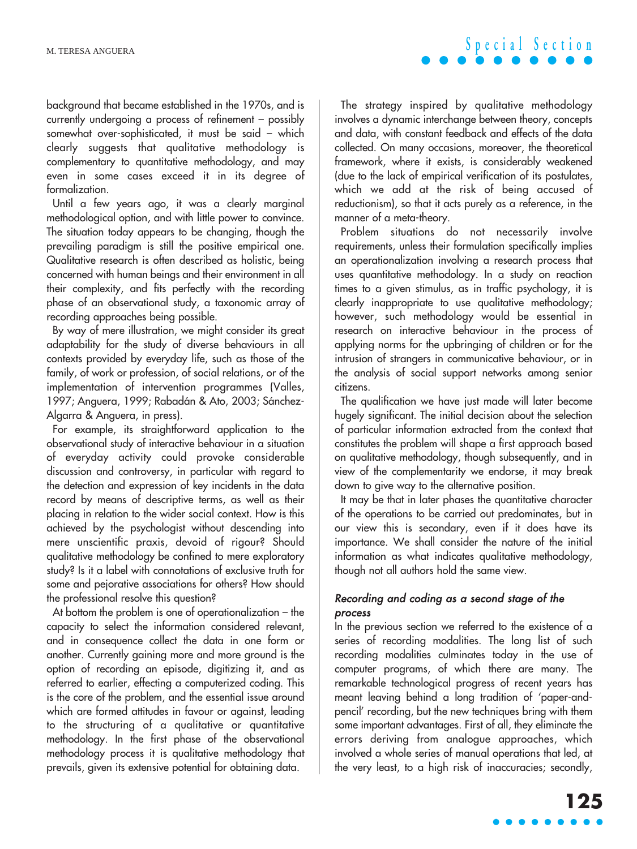background that became established in the 1970s, and is currently undergoing a process of refinement – possibly somewhat over-sophisticated, it must be said – which clearly suggests that qualitative methodology is complementary to quantitative methodology, and may even in some cases exceed it in its degree of formalization.

Until a few years ago, it was a clearly marginal methodological option, and with little power to convince. The situation today appears to be changing, though the prevailing paradigm is still the positive empirical one. Qualitative research is often described as holistic, being concerned with human beings and their environment in all their complexity, and fits perfectly with the recording phase of an observational study, a taxonomic array of recording approaches being possible.

By way of mere illustration, we might consider its great adaptability for the study of diverse behaviours in all contexts provided by everyday life, such as those of the family, of work or profession, of social relations, or of the implementation of intervention programmes (Valles, 1997; Anguera, 1999; Rabadán & Ato, 2003; Sánchez-Algarra & Anguera, in press).

For example, its straightforward application to the observational study of interactive behaviour in a situation of everyday activity could provoke considerable discussion and controversy, in particular with regard to the detection and expression of key incidents in the data record by means of descriptive terms, as well as their placing in relation to the wider social context. How is this achieved by the psychologist without descending into mere unscientific praxis, devoid of rigour? Should qualitative methodology be confined to mere exploratory study? Is it a label with connotations of exclusive truth for some and pejorative associations for others? How should the professional resolve this question?

At bottom the problem is one of operationalization – the capacity to select the information considered relevant, and in consequence collect the data in one form or another. Currently gaining more and more ground is the option of recording an episode, digitizing it, and as referred to earlier, effecting a computerized coding. This is the core of the problem, and the essential issue around which are formed attitudes in favour or against, leading to the structuring of a qualitative or quantitative methodology. In the first phase of the observational methodology process it is qualitative methodology that prevails, given its extensive potential for obtaining data.

The strategy inspired by qualitative methodology involves a dynamic interchange between theory, concepts and data, with constant feedback and effects of the data collected. On many occasions, moreover, the theoretical framework, where it exists, is considerably weakened (due to the lack of empirical verification of its postulates, which we add at the risk of being accused of reductionism), so that it acts purely as a reference, in the manner of a meta-theory.

Problem situations do not necessarily involve requirements, unless their formulation specifically implies an operationalization involving a research process that uses quantitative methodology. In a study on reaction times to a given stimulus, as in traffic psychology, it is clearly inappropriate to use qualitative methodology; however, such methodology would be essential in research on interactive behaviour in the process of applying norms for the upbringing of children or for the intrusion of strangers in communicative behaviour, or in the analysis of social support networks among senior citizens.

The qualification we have just made will later become hugely significant. The initial decision about the selection of particular information extracted from the context that constitutes the problem will shape a first approach based on qualitative methodology, though subsequently, and in view of the complementarity we endorse, it may break down to give way to the alternative position.

It may be that in later phases the quantitative character of the operations to be carried out predominates, but in our view this is secondary, even if it does have its importance. We shall consider the nature of the initial information as what indicates qualitative methodology, though not all authors hold the same view.

### Recording and coding as a second stage of the process

In the previous section we referred to the existence of a series of recording modalities. The long list of such recording modalities culminates today in the use of computer programs, of which there are many. The remarkable technological progress of recent years has meant leaving behind a long tradition of 'paper-andpencil' recording, but the new techniques bring with them some important advantages. First of all, they eliminate the errors deriving from analogue approaches, which involved a whole series of manual operations that led, at the very least, to a high risk of inaccuracies; secondly,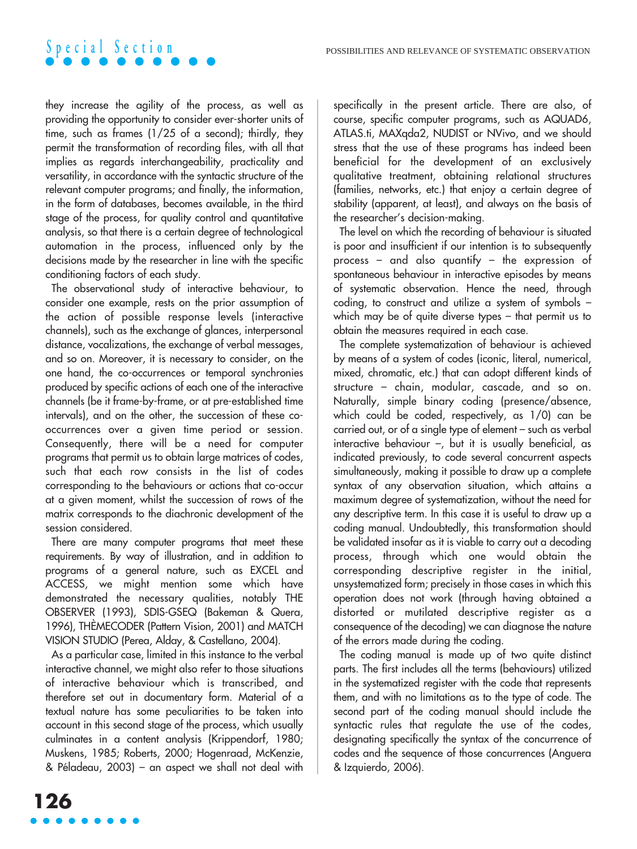they increase the agility of the process, as well as providing the opportunity to consider ever-shorter units of time, such as frames (1/25 of a second); thirdly, they permit the transformation of recording files, with all that implies as regards interchangeability, practicality and versatility, in accordance with the syntactic structure of the relevant computer programs; and finally, the information, in the form of databases, becomes available, in the third stage of the process, for quality control and quantitative analysis, so that there is a certain degree of technological automation in the process, influenced only by the decisions made by the researcher in line with the specific conditioning factors of each study.

The observational study of interactive behaviour, to consider one example, rests on the prior assumption of the action of possible response levels (interactive channels), such as the exchange of glances, interpersonal distance, vocalizations, the exchange of verbal messages, and so on. Moreover, it is necessary to consider, on the one hand, the co-occurrences or temporal synchronies produced by specific actions of each one of the interactive channels (be it frame-by-frame, or at pre-established time intervals), and on the other, the succession of these cooccurrences over a given time period or session. Consequently, there will be a need for computer programs that permit us to obtain large matrices of codes, such that each row consists in the list of codes corresponding to the behaviours or actions that co-occur at a given moment, whilst the succession of rows of the matrix corresponds to the diachronic development of the session considered.

There are many computer programs that meet these requirements. By way of illustration, and in addition to programs of a general nature, such as EXCEL and ACCESS, we might mention some which have demonstrated the necessary qualities, notably THE OBSERVER (1993), SDIS-GSEQ (Bakeman & Quera, 1996), THÈMECODER (Pattern Vision, 2001) and MATCH VISION STUDIO (Perea, Alday, & Castellano, 2004).

As a particular case, limited in this instance to the verbal interactive channel, we might also refer to those situations of interactive behaviour which is transcribed, and therefore set out in documentary form. Material of a textual nature has some peculiarities to be taken into account in this second stage of the process, which usually culminates in a content analysis (Krippendorf, 1980; Muskens, 1985; Roberts, 2000; Hogenraad, McKenzie, & Péladeau, 2003) – an aspect we shall not deal with specifically in the present article. There are also, of course, specific computer programs, such as AQUAD6, ATLAS.ti, MAXqda2, NUDIST or NVivo, and we should stress that the use of these programs has indeed been beneficial for the development of an exclusively qualitative treatment, obtaining relational structures (families, networks, etc.) that enjoy a certain degree of stability (apparent, at least), and always on the basis of the researcher's decision-making.

The level on which the recording of behaviour is situated is poor and insufficient if our intention is to subsequently process – and also quantify – the expression of spontaneous behaviour in interactive episodes by means of systematic observation. Hence the need, through coding, to construct and utilize a system of symbols – which may be of quite diverse types – that permit us to obtain the measures required in each case.

The complete systematization of behaviour is achieved by means of a system of codes (iconic, literal, numerical, mixed, chromatic, etc.) that can adopt different kinds of structure – chain, modular, cascade, and so on. Naturally, simple binary coding (presence/absence, which could be coded, respectively, as 1/0) can be carried out, or of a single type of element – such as verbal interactive behaviour –, but it is usually beneficial, as indicated previously, to code several concurrent aspects simultaneously, making it possible to draw up a complete syntax of any observation situation, which attains a maximum degree of systematization, without the need for any descriptive term. In this case it is useful to draw up a coding manual. Undoubtedly, this transformation should be validated insofar as it is viable to carry out a decoding process, through which one would obtain the corresponding descriptive register in the initial, unsystematized form; precisely in those cases in which this operation does not work (through having obtained a distorted or mutilated descriptive register as a consequence of the decoding) we can diagnose the nature of the errors made during the coding.

The coding manual is made up of two quite distinct parts. The first includes all the terms (behaviours) utilized in the systematized register with the code that represents them, and with no limitations as to the type of code. The second part of the coding manual should include the syntactic rules that regulate the use of the codes, designating specifically the syntax of the concurrence of codes and the sequence of those concurrences (Anguera & Izquierdo, 2006).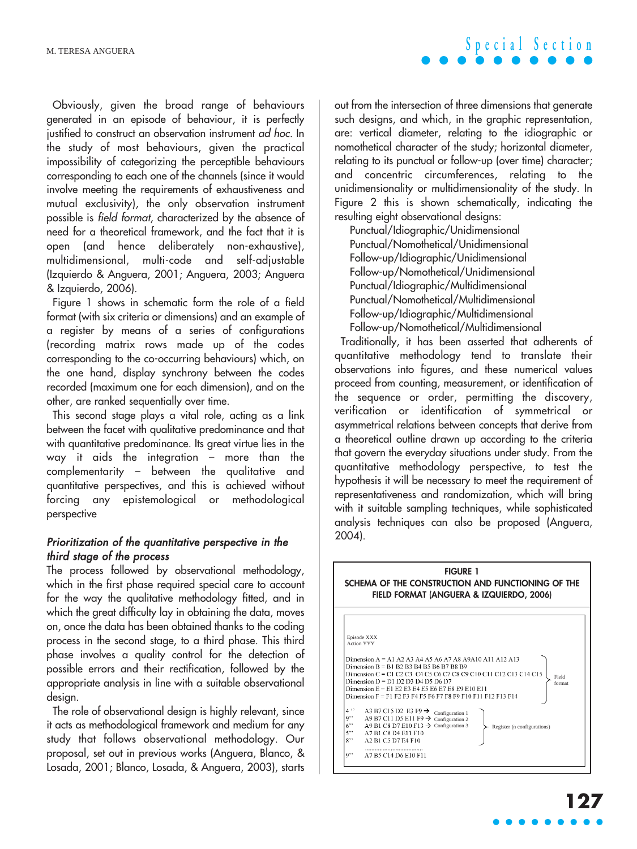Obviously, given the broad range of behaviours generated in an episode of behaviour, it is perfectly justified to construct an observation instrument ad hoc. In the study of most behaviours, given the practical impossibility of categorizing the perceptible behaviours corresponding to each one of the channels (since it would involve meeting the requirements of exhaustiveness and mutual exclusivity), the only observation instrument possible is field format, characterized by the absence of need for a theoretical framework, and the fact that it is open (and hence deliberately non-exhaustive), multidimensional, multi-code and self-adjustable (Izquierdo & Anguera, 2001; Anguera, 2003; Anguera & Izquierdo, 2006).

Figure 1 shows in schematic form the role of a field format (with six criteria or dimensions) and an example of a register by means of a series of configurations (recording matrix rows made up of the codes corresponding to the co-occurring behaviours) which, on the one hand, display synchrony between the codes recorded (maximum one for each dimension), and on the other, are ranked sequentially over time.

This second stage plays a vital role, acting as a link between the facet with qualitative predominance and that with quantitative predominance. Its great virtue lies in the way it aids the integration – more than the complementarity – between the qualitative and quantitative perspectives, and this is achieved without forcing any epistemological or methodological perspective

### Prioritization of the quantitative perspective in the third stage of the process

The process followed by observational methodology, which in the first phase required special care to account for the way the qualitative methodology fitted, and in which the great difficulty lay in obtaining the data, moves on, once the data has been obtained thanks to the coding process in the second stage, to a third phase. This third phase involves a quality control for the detection of possible errors and their rectification, followed by the appropriate analysis in line with a suitable observational design.

The role of observational design is highly relevant, since it acts as methodological framework and medium for any study that follows observational methodology. Our proposal, set out in previous works (Anguera, Blanco, & Losada, 2001; Blanco, Losada, & Anguera, 2003), starts

out from the intersection of three dimensions that generate such designs, and which, in the graphic representation, are: vertical diameter, relating to the idiographic or nomothetical character of the study; horizontal diameter, relating to its punctual or follow-up (over time) character; and concentric circumferences, relating to the unidimensionality or multidimensionality of the study. In Figure 2 this is shown schematically, indicating the resulting eight observational designs:

Punctual/Idiographic/Unidimensional Punctual/Nomothetical/Unidimensional Follow-up/Idiographic/Unidimensional Follow-up/Nomothetical/Unidimensional Punctual/Idiographic/Multidimensional Punctual/Nomothetical/Multidimensional Follow-up/Idiographic/Multidimensional Follow-up/Nomothetical/Multidimensional

Traditionally, it has been asserted that adherents of quantitative methodology tend to translate their observations into figures, and these numerical values proceed from counting, measurement, or identification of the sequence or order, permitting the discovery, verification or identification of symmetrical or asymmetrical relations between concepts that derive from a theoretical outline drawn up according to the criteria that govern the everyday situations under study. From the quantitative methodology perspective, to test the hypothesis it will be necessary to meet the requirement of representativeness and randomization, which will bring with it suitable sampling techniques, while sophisticated analysis techniques can also be proposed (Anguera, 2004).



**Special Section**

**127**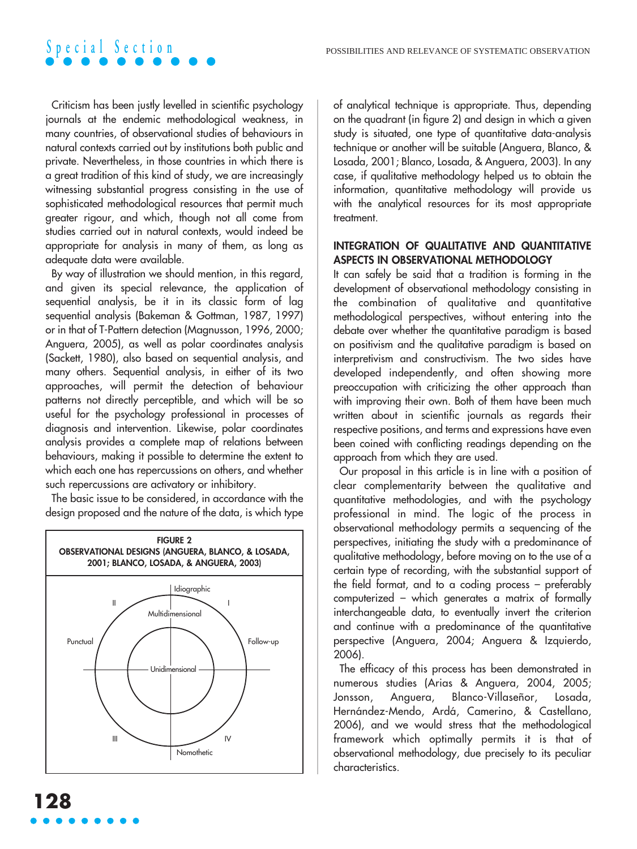

Criticism has been justly levelled in scientific psychology journals at the endemic methodological weakness, in many countries, of observational studies of behaviours in natural contexts carried out by institutions both public and private. Nevertheless, in those countries in which there is a great tradition of this kind of study, we are increasingly witnessing substantial progress consisting in the use of sophisticated methodological resources that permit much greater rigour, and which, though not all come from studies carried out in natural contexts, would indeed be appropriate for analysis in many of them, as long as adequate data were available.

By way of illustration we should mention, in this regard, and given its special relevance, the application of sequential analysis, be it in its classic form of lag sequential analysis (Bakeman & Gottman, 1987, 1997) or in that of T-Pattern detection (Magnusson, 1996, 2000; Anguera, 2005), as well as polar coordinates analysis (Sackett, 1980), also based on sequential analysis, and many others. Sequential analysis, in either of its two approaches, will permit the detection of behaviour patterns not directly perceptible, and which will be so useful for the psychology professional in processes of diagnosis and intervention. Likewise, polar coordinates analysis provides a complete map of relations between behaviours, making it possible to determine the extent to which each one has repercussions on others, and whether such repercussions are activatory or inhibitory.

The basic issue to be considered, in accordance with the design proposed and the nature of the data, is which type



of analytical technique is appropriate. Thus, depending on the quadrant (in figure 2) and design in which a given study is situated, one type of quantitative data-analysis technique or another will be suitable (Anguera, Blanco, & Losada, 2001; Blanco, Losada, & Anguera, 2003). In any case, if qualitative methodology helped us to obtain the information, quantitative methodology will provide us with the analytical resources for its most appropriate treatment.

#### **INTEGRATION OF QUALITATIVE AND QUANTITATIVE ASPECTS IN OBSERVATIONAL METHODOLOGY**

It can safely be said that a tradition is forming in the development of observational methodology consisting in the combination of qualitative and quantitative methodological perspectives, without entering into the debate over whether the quantitative paradigm is based on positivism and the qualitative paradigm is based on interpretivism and constructivism. The two sides have developed independently, and often showing more preoccupation with criticizing the other approach than with improving their own. Both of them have been much written about in scientific journals as regards their respective positions, and terms and expressions have even been coined with conflicting readings depending on the approach from which they are used.

Our proposal in this article is in line with a position of clear complementarity between the qualitative and quantitative methodologies, and with the psychology professional in mind. The logic of the process in observational methodology permits a sequencing of the perspectives, initiating the study with a predominance of qualitative methodology, before moving on to the use of a certain type of recording, with the substantial support of the field format, and to a coding process – preferably computerized – which generates a matrix of formally interchangeable data, to eventually invert the criterion and continue with a predominance of the quantitative perspective (Anguera, 2004; Anguera & Izquierdo, 2006).

The efficacy of this process has been demonstrated in numerous studies (Arias & Anguera, 2004, 2005; Jonsson, Anguera, Blanco-Villaseñor, Losada, Hernández-Mendo, Ardá, Camerino, & Castellano, 2006), and we would stress that the methodological framework which optimally permits it is that of observational methodology, due precisely to its peculiar characteristics.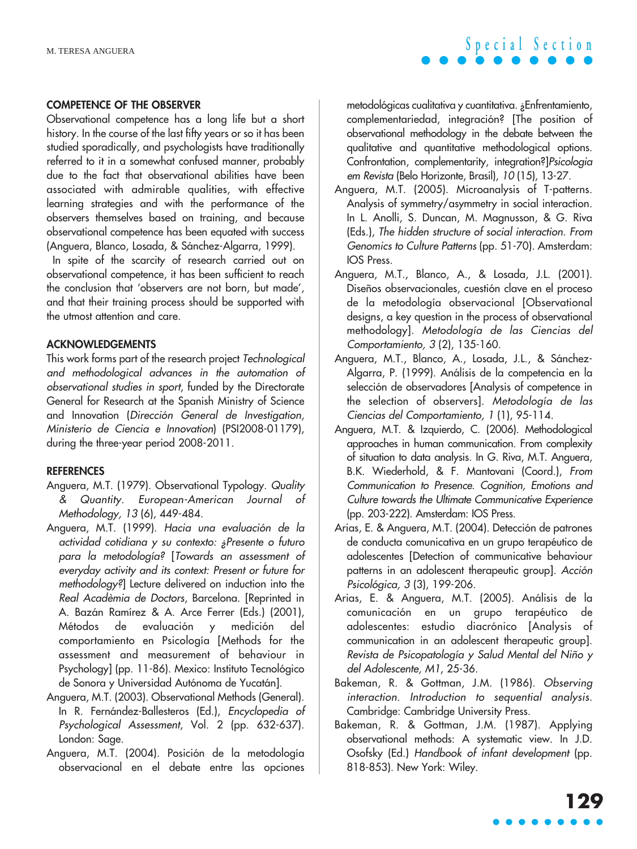#### **COMPETENCE OF THE OBSERVER**

Observational competence has a long life but a short history. In the course of the last fifty years or so it has been studied sporadically, and psychologists have traditionally referred to it in a somewhat confused manner, probably due to the fact that observational abilities have been associated with admirable qualities, with effective learning strategies and with the performance of the observers themselves based on training, and because observational competence has been equated with success (Anguera, Blanco, Losada, & Sánchez-Algarra, 1999).

In spite of the scarcity of research carried out on observational competence, it has been sufficient to reach the conclusion that 'observers are not born, but made', and that their training process should be supported with the utmost attention and care.

### **ACKNOWLEDGEMENTS**

This work forms part of the research project Technological and methodological advances in the automation of observational studies in sport, funded by the Directorate General for Research at the Spanish Ministry of Science and Innovation (Dirección General de Investigation, Ministerio de Ciencia e Innovation) (PSI2008-01179), during the three-year period 2008-2011.

#### **REFERENCES**

- Anguera, M.T. (1979). Observational Typology. Quality & Quantity. European-American Journal of Methodology, 13 (6), 449-484.
- Anguera, M.T. (1999). Hacia una evaluación de la actividad cotidiana y su contexto: ¿Presente o futuro para la metodología? [Towards an assessment of everyday activity and its context: Present or future for methodology?] Lecture delivered on induction into the Real Acadèmia de Doctors, Barcelona. [Reprinted in A. Bazán Ramírez & A. Arce Ferrer (Eds.) (2001), Métodos de evaluación y medición del comportamiento en Psicología [Methods for the assessment and measurement of behaviour in Psychology] (pp. 11-86). Mexico: Instituto Tecnológico de Sonora y Universidad Autónoma de Yucatán].
- Anguera, M.T. (2003). Observational Methods (General). In R. Fernández-Ballesteros (Ed.), Encyclopedia of Psychological Assessment, Vol. 2 (pp. 632-637). London: Sage.
- Anguera, M.T. (2004). Posición de la metodología observacional en el debate entre las opciones

metodológicas cualitativa y cuantitativa. ¿Enfrentamiento, complementariedad, integración? [The position of observational methodology in the debate between the qualitative and quantitative methodological options. Confrontation, complementarity, integration?]Psicologia em Revista (Belo Horizonte, Brasil), 10 (15), 13-27.

- Anguera, M.T. (2005). Microanalysis of T-patterns. Analysis of symmetry/asymmetry in social interaction. In L. Anolli, S. Duncan, M. Magnusson, & G. Riva (Eds.), The hidden structure of social interaction. From Genomics to Culture Patterns (pp. 51-70). Amsterdam: IOS Press.
- Anguera, M.T., Blanco, A., & Losada, J.L. (2001). Diseños observacionales, cuestión clave en el proceso de la metodología observacional [Observational designs, a key question in the process of observational methodology]. Metodología de las Ciencias del Comportamiento, 3 (2), 135-160.
- Anguera, M.T., Blanco, A., Losada, J.L., & Sánchez-Algarra, P. (1999). Análisis de la competencia en la selección de observadores [Analysis of competence in the selection of observers]. Metodología de las Ciencias del Comportamiento, 1 (1), 95-114.
- Anguera, M.T. & Izquierdo, C. (2006). Methodological approaches in human communication. From complexity of situation to data analysis. In G. Riva, M.T. Anguera, B.K. Wiederhold, & F. Mantovani (Coord.), From Communication to Presence. Cognition, Emotions and Culture towards the Ultimate Communicative Experience (pp. 203-222). Amsterdam: IOS Press.
- Arias, E. & Anguera, M.T. (2004). Detección de patrones de conducta comunicativa en un grupo terapéutico de adolescentes [Detection of communicative behaviour patterns in an adolescent therapeutic group]. Acción Psicológica, 3 (3), 199-206.
- Arias, E. & Anguera, M.T. (2005). Análisis de la comunicación en un grupo terapéutico de adolescentes: estudio diacrónico [Analysis of communication in an adolescent therapeutic group]. Revista de Psicopatología y Salud Mental del Niño y del Adolescente, M1, 25-36.
- Bakeman, R. & Gottman, J.M. (1986). Observing interaction. Introduction to sequential analysis. Cambridge: Cambridge University Press.
- Bakeman, R. & Gottman, J.M. (1987). Applying observational methods: A systematic view. In J.D. Osofsky (Ed.) Handbook of infant development (pp. 818-853). New York: Wiley.